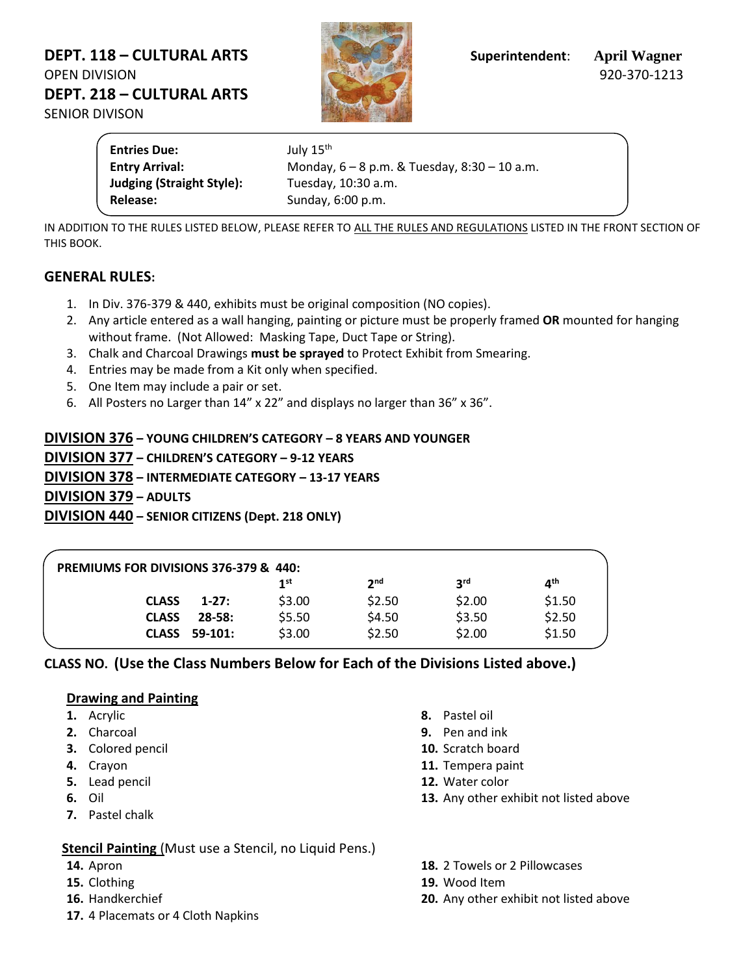# **DEPT. 118 – CULTURAL ARTS Superintendent**: **April Wagner** OPEN DIVISION 920-370-1213 **DEPT. 218 – CULTURAL ARTS** SENIOR DIVISON



**Entries Due:** July 15<sup>th</sup> **Entry Arrival:** Monday, 6 – 8 p.m. & Tuesday, 8:30 – 10 a.m. **Judging (Straight Style):** Tuesday, 10:30 a.m. Release: Sunday, 6:00 p.m.

IN ADDITION TO THE RULES LISTED BELOW, PLEASE REFER TO ALL THE RULES AND REGULATIONS LISTED IN THE FRONT SECTION OF THIS BOOK.

## **GENERAL RULES:**

- 1. In Div. 376-379 & 440, exhibits must be original composition (NO copies).
- 2. Any article entered as a wall hanging, painting or picture must be properly framed **OR** mounted for hanging without frame. (Not Allowed: Masking Tape, Duct Tape or String).
- 3. Chalk and Charcoal Drawings **must be sprayed** to Protect Exhibit from Smearing.
- 4. Entries may be made from a Kit only when specified.
- 5. One Item may include a pair or set.
- 6. All Posters no Larger than 14" x 22" and displays no larger than 36" x 36".

# **DIVISION 376 – YOUNG CHILDREN'S CATEGORY – 8 YEARS AND YOUNGER DIVISION 377 – CHILDREN'S CATEGORY – 9-12 YEARS DIVISION 378 – INTERMEDIATE CATEGORY – 13-17 YEARS DIVISION 379 – ADULTS DIVISION 440 – SENIOR CITIZENS (Dept. 218 ONLY)**

| PREMIUMS FOR DIVISIONS 376-379 & 440: |            |        |                 |            |        |
|---------------------------------------|------------|--------|-----------------|------------|--------|
|                                       |            | 1st    | 2 <sub>nd</sub> | <b>2rd</b> | ⊿th    |
| <b>CLASS</b>                          | $1-27:$    | \$3.00 | \$2.50          | \$2.00     | \$1.50 |
| <b>CLASS</b>                          | $28 - 58:$ | \$5.50 | \$4.50          | \$3.50     | \$2.50 |
| <b>CLASS</b>                          | 59-101:    | \$3.00 | \$2.50          | \$2.00     | \$1.50 |

## **CLASS NO. (Use the Class Numbers Below for Each of the Divisions Listed above.)**

#### **Drawing and Painting**

- **1.** Acrylic
- **2.** Charcoal
- **3.** Colored pencil
- **4.** Crayon
- **5.** Lead pencil
- **6.** Oil
- **7.** Pastel chalk

## **Stencil Painting** (Must use a Stencil, no Liquid Pens.)

- **14.** Apron
- **15.** Clothing
- **16.** Handkerchief
- **17.** 4 Placemats or 4 Cloth Napkins
- **8.** Pastel oil
- **9.** Pen and ink
- **10.** Scratch board
- **11.** Tempera paint
- **12.** Water color
- **13.** Any other exhibit not listed above
- **18.** 2 Towels or 2 Pillowcases
- **19.** Wood Item
- **20.** Any other exhibit not listed above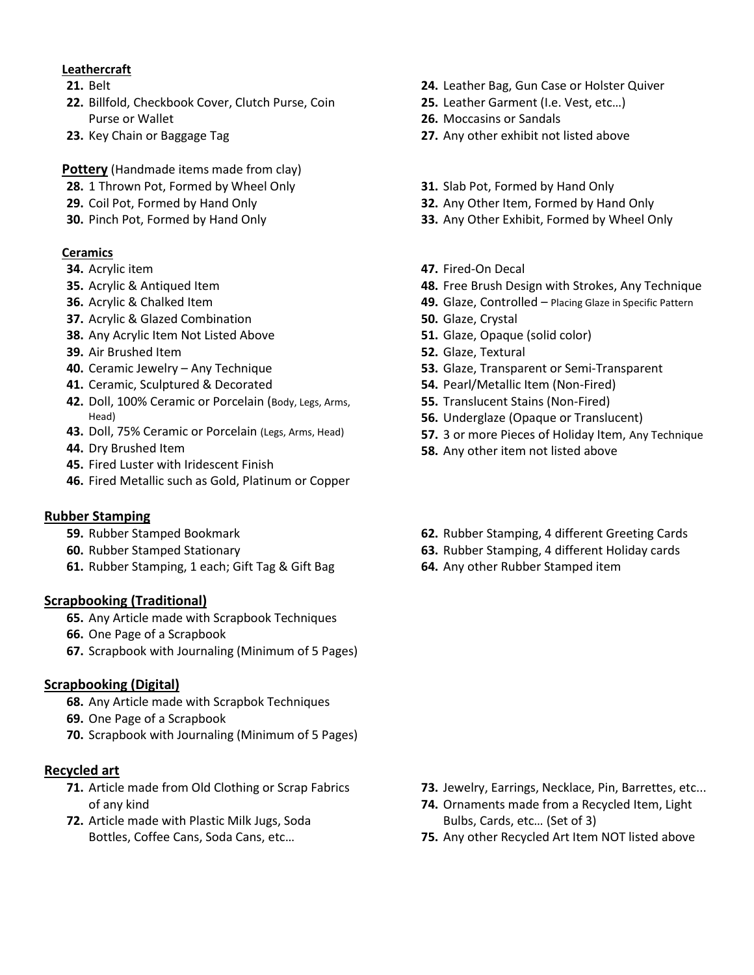### **Leathercraft**

- **21.** Belt
- **22.** Billfold, Checkbook Cover, Clutch Purse, Coin Purse or Wallet
- **23.** Key Chain or Baggage Tag

### **Pottery** (Handmade items made from clay)

- **28.** 1 Thrown Pot, Formed by Wheel Only
- **29.** Coil Pot, Formed by Hand Only
- **30.** Pinch Pot, Formed by Hand Only

## **Ceramics**

- **34.** Acrylic item
- **35.** Acrylic & Antiqued Item
- **36.** Acrylic & Chalked Item
- **37.** Acrylic & Glazed Combination
- **38.** Any Acrylic Item Not Listed Above
- **39.** Air Brushed Item
- **40.** Ceramic Jewelry Any Technique
- **41.** Ceramic, Sculptured & Decorated
- **42.** Doll, 100% Ceramic or Porcelain (Body, Legs, Arms, Head)
- **43.** Doll, 75% Ceramic or Porcelain (Legs, Arms, Head)
- **44.** Dry Brushed Item
- **45.** Fired Luster with Iridescent Finish
- **46.** Fired Metallic such as Gold, Platinum or Copper

#### **Rubber Stamping**

- **59.** Rubber Stamped Bookmark
- **60.** Rubber Stamped Stationary
- **61.** Rubber Stamping, 1 each; Gift Tag & Gift Bag

#### **Scrapbooking (Traditional)**

- **65.** Any Article made with Scrapbook Techniques
- **66.** One Page of a Scrapbook
- **67.** Scrapbook with Journaling (Minimum of 5 Pages)

#### **Scrapbooking (Digital)**

- **68.** Any Article made with Scrapbok Techniques
- **69.** One Page of a Scrapbook
- **70.** Scrapbook with Journaling (Minimum of 5 Pages)

#### **Recycled art**

- **71.** Article made from Old Clothing or Scrap Fabrics of any kind
- **72.** Article made with Plastic Milk Jugs, Soda Bottles, Coffee Cans, Soda Cans, etc…
- **24.** Leather Bag, Gun Case or Holster Quiver
- **25.** Leather Garment (I.e. Vest, etc…)
- **26.** Moccasins or Sandals
- **27.** Any other exhibit not listed above
- **31.** Slab Pot, Formed by Hand Only
- **32.** Any Other Item, Formed by Hand Only
- **33.** Any Other Exhibit, Formed by Wheel Only
- **47.** Fired-On Decal
- **48.** Free Brush Design with Strokes, Any Technique
- **49.** Glaze, Controlled Placing Glaze in Specific Pattern
- **50.** Glaze, Crystal
- **51.** Glaze, Opaque (solid color)
- **52.** Glaze, Textural
- **53.** Glaze, Transparent or Semi-Transparent
- **54.** Pearl/Metallic Item (Non-Fired)
- **55.** Translucent Stains (Non-Fired)
- **56.** Underglaze (Opaque or Translucent)
- **57.** 3 or more Pieces of Holiday Item, Any Technique
- **58.** Any other item not listed above
- **62.** Rubber Stamping, 4 different Greeting Cards
- **63.** Rubber Stamping, 4 different Holiday cards
- **64.** Any other Rubber Stamped item

- **73.** Jewelry, Earrings, Necklace, Pin, Barrettes, etc...
- **74.** Ornaments made from a Recycled Item, Light Bulbs, Cards, etc… (Set of 3)
- **75.** Any other Recycled Art Item NOT listed above